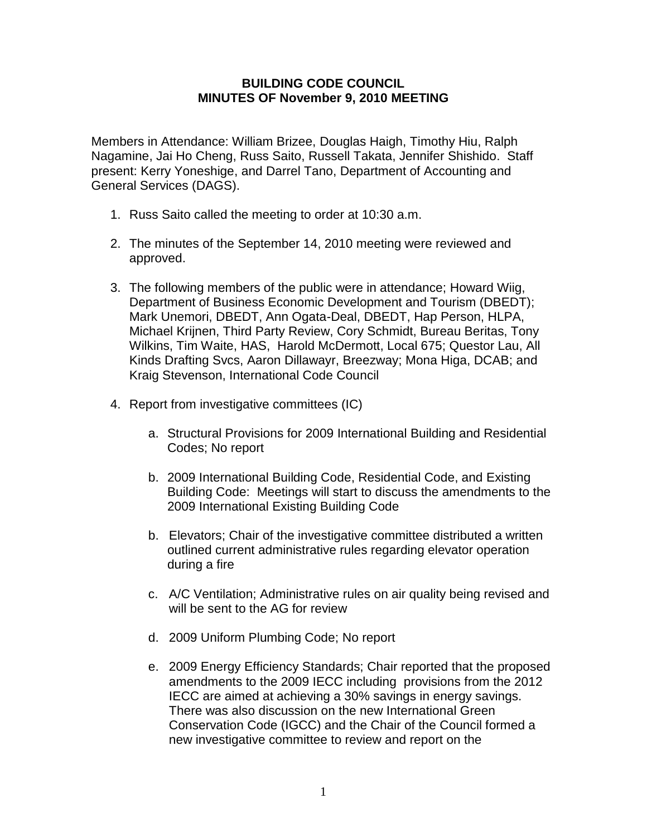## **BUILDING CODE COUNCIL MINUTES OF November 9, 2010 MEETING**

Members in Attendance: William Brizee, Douglas Haigh, Timothy Hiu, Ralph Nagamine, Jai Ho Cheng, Russ Saito, Russell Takata, Jennifer Shishido. Staff present: Kerry Yoneshige, and Darrel Tano, Department of Accounting and General Services (DAGS).

- 1. Russ Saito called the meeting to order at 10:30 a.m.
- 2. The minutes of the September 14, 2010 meeting were reviewed and approved.
- 3. The following members of the public were in attendance; Howard Wiig, Department of Business Economic Development and Tourism (DBEDT); Mark Unemori, DBEDT, Ann Ogata-Deal, DBEDT, Hap Person, HLPA, Michael Krijnen, Third Party Review, Cory Schmidt, Bureau Beritas, Tony Wilkins, Tim Waite, HAS, Harold McDermott, Local 675; Questor Lau, All Kinds Drafting Svcs, Aaron Dillawayr, Breezway; Mona Higa, DCAB; and Kraig Stevenson, International Code Council
- 4. Report from investigative committees (IC)
	- a. Structural Provisions for 2009 International Building and Residential Codes; No report
	- b. 2009 International Building Code, Residential Code, and Existing Building Code: Meetings will start to discuss the amendments to the 2009 International Existing Building Code
	- b. Elevators; Chair of the investigative committee distributed a written outlined current administrative rules regarding elevator operation during a fire
	- c. A/C Ventilation; Administrative rules on air quality being revised and will be sent to the AG for review
	- d. 2009 Uniform Plumbing Code; No report
	- e. 2009 Energy Efficiency Standards; Chair reported that the proposed amendments to the 2009 IECC including provisions from the 2012 IECC are aimed at achieving a 30% savings in energy savings. There was also discussion on the new International Green Conservation Code (IGCC) and the Chair of the Council formed a new investigative committee to review and report on the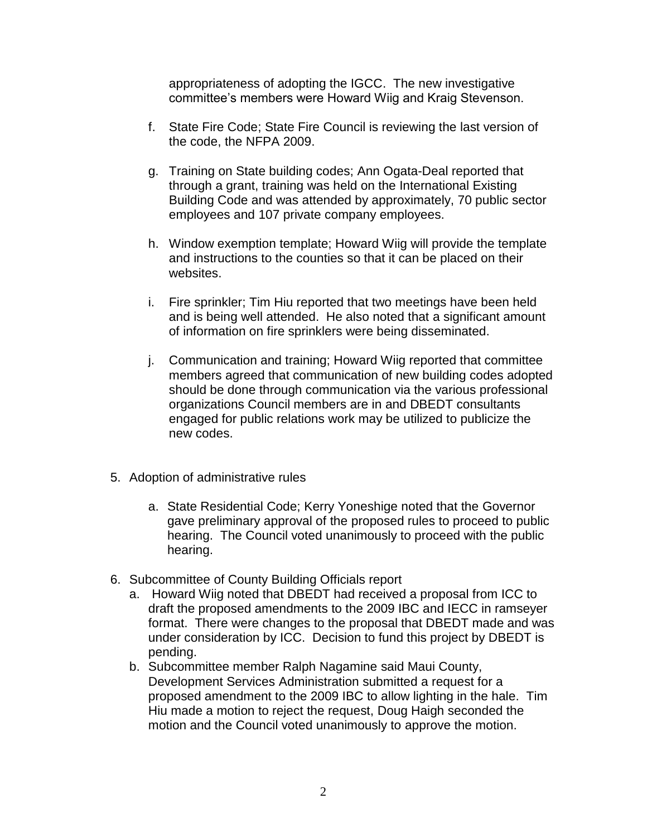appropriateness of adopting the IGCC. The new investigative committee's members were Howard Wiig and Kraig Stevenson.

- f. State Fire Code; State Fire Council is reviewing the last version of the code, the NFPA 2009.
- g. Training on State building codes; Ann Ogata-Deal reported that through a grant, training was held on the International Existing Building Code and was attended by approximately, 70 public sector employees and 107 private company employees.
- h. Window exemption template; Howard Wiig will provide the template and instructions to the counties so that it can be placed on their websites.
- i. Fire sprinkler; Tim Hiu reported that two meetings have been held and is being well attended. He also noted that a significant amount of information on fire sprinklers were being disseminated.
- j. Communication and training; Howard Wiig reported that committee members agreed that communication of new building codes adopted should be done through communication via the various professional organizations Council members are in and DBEDT consultants engaged for public relations work may be utilized to publicize the new codes.
- 5. Adoption of administrative rules
	- a. State Residential Code; Kerry Yoneshige noted that the Governor gave preliminary approval of the proposed rules to proceed to public hearing. The Council voted unanimously to proceed with the public hearing.
- 6. Subcommittee of County Building Officials report
	- a. Howard Wiig noted that DBEDT had received a proposal from ICC to draft the proposed amendments to the 2009 IBC and IECC in ramseyer format. There were changes to the proposal that DBEDT made and was under consideration by ICC. Decision to fund this project by DBEDT is pending.
	- b. Subcommittee member Ralph Nagamine said Maui County, Development Services Administration submitted a request for a proposed amendment to the 2009 IBC to allow lighting in the hale. Tim Hiu made a motion to reject the request, Doug Haigh seconded the motion and the Council voted unanimously to approve the motion.